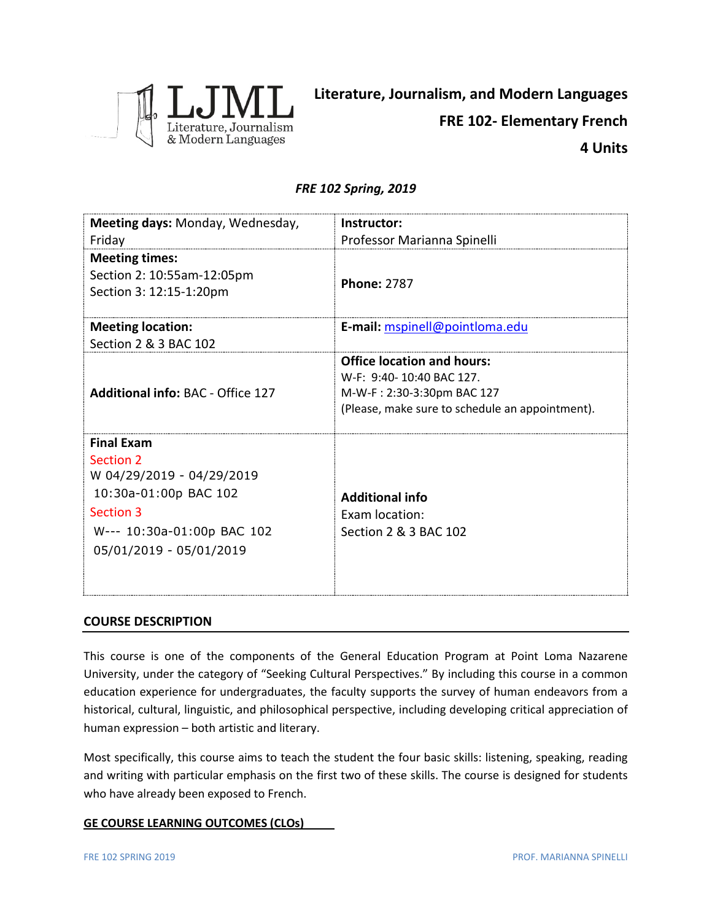

# *FRE 102 Spring, 2019*

| Meeting days: Monday, Wednesday,<br>Friday                                                                                                                        | Instructor:<br>Professor Marianna Spinelli                                                                                                     |
|-------------------------------------------------------------------------------------------------------------------------------------------------------------------|------------------------------------------------------------------------------------------------------------------------------------------------|
| <b>Meeting times:</b><br>Section 2: 10:55am-12:05pm<br>Section 3: 12:15-1:20pm                                                                                    | <b>Phone: 2787</b>                                                                                                                             |
| <b>Meeting location:</b><br>Section 2 & 3 BAC 102                                                                                                                 | E-mail: mspinell@pointloma.edu                                                                                                                 |
| <b>Additional info: BAC - Office 127</b>                                                                                                                          | <b>Office location and hours:</b><br>W-F: 9:40-10:40 BAC 127.<br>M-W-F: 2:30-3:30pm BAC 127<br>(Please, make sure to schedule an appointment). |
| <b>Final Exam</b><br><b>Section 2</b><br>W 04/29/2019 - 04/29/2019<br>10:30a-01:00p BAC 102<br>Section 3<br>W--- 10:30a-01:00p BAC 102<br>05/01/2019 - 05/01/2019 | <b>Additional info</b><br><b>Exam location:</b><br>Section 2 & 3 BAC 102                                                                       |

# **COURSE DESCRIPTION**

This course is one of the components of the General Education Program at Point Loma Nazarene University, under the category of "Seeking Cultural Perspectives." By including this course in a common education experience for undergraduates, the faculty supports the survey of human endeavors from a historical, cultural, linguistic, and philosophical perspective, including developing critical appreciation of human expression – both artistic and literary.

Most specifically, this course aims to teach the student the four basic skills: listening, speaking, reading and writing with particular emphasis on the first two of these skills. The course is designed for students who have already been exposed to French.

# **GE COURSE LEARNING OUTCOMES (CLOs)**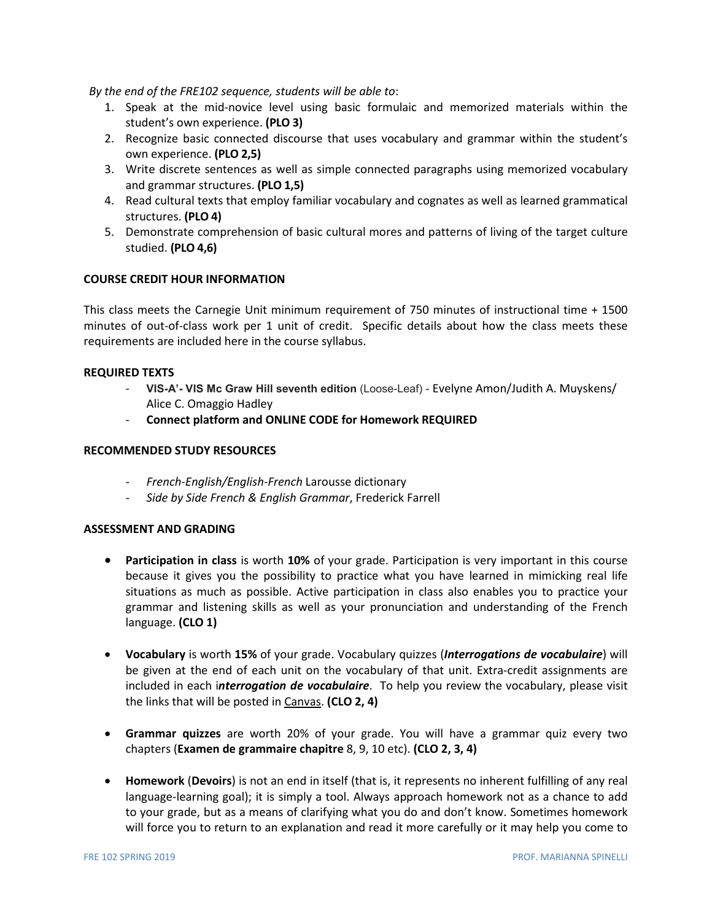*By the end of the FRE102 sequence, students will be able to*:

- 1. Speak at the mid-novice level using basic formulaic and memorized materials within the student's own experience. **(PLO 3)**
- 2. Recognize basic connected discourse that uses vocabulary and grammar within the student's own experience. **(PLO 2,5)**
- 3. Write discrete sentences as well as simple connected paragraphs using memorized vocabulary and grammar structures. **(PLO 1,5)**
- 4. Read cultural texts that employ familiar vocabulary and cognates as well as learned grammatical structures. **(PLO 4)**
- 5. Demonstrate comprehension of basic cultural mores and patterns of living of the target culture studied. **(PLO 4,6)**

# **COURSE CREDIT HOUR INFORMATION**

This class meets the Carnegie Unit minimum requirement of 750 minutes of instructional time + 1500 minutes of out-of-class work per 1 unit of credit. Specific details about how the class meets these requirements are included here in the course syllabus.

### **REQUIRED TEXTS**

- **VIS-A'- VIS Mc Graw Hill seventh edition** (Loose-Leaf) Evelyne Amon/Judith A. Muyskens/ Alice C. Omaggio Hadley
- **Connect platform and ONLINE CODE for Homework REQUIRED**

## **RECOMMENDED STUDY RESOURCES**

- *- French-English/English-French* Larousse dictionary
- *- Side by Side French & English Grammar*, Frederick Farrell

### **ASSESSMENT AND GRADING**

- **Participation in class** is worth **10%** of your grade. Participation is very important in this course because it gives you the possibility to practice what you have learned in mimicking real life situations as much as possible. Active participation in class also enables you to practice your grammar and listening skills as well as your pronunciation and understanding of the French language. **(CLO 1)**
- **Vocabulary** is worth **15%** of your grade. Vocabulary quizzes (*Interrogations de vocabulaire*) will be given at the end of each unit on the vocabulary of that unit. Extra-credit assignments are included in each i*nterrogation de vocabulaire*. To help you review the vocabulary, please visit the links that will be posted in Canvas. **(CLO 2, 4)**
- **Grammar quizzes** are worth 20% of your grade. You will have a grammar quiz every two chapters (**Examen de grammaire chapitre** 8, 9, 10 etc). **(CLO 2, 3, 4)**
- **Homework** (**Devoirs**) is not an end in itself (that is, it represents no inherent fulfilling of any real language-learning goal); it is simply a tool. Always approach homework not as a chance to add to your grade, but as a means of clarifying what you do and don't know. Sometimes homework will force you to return to an explanation and read it more carefully or it may help you come to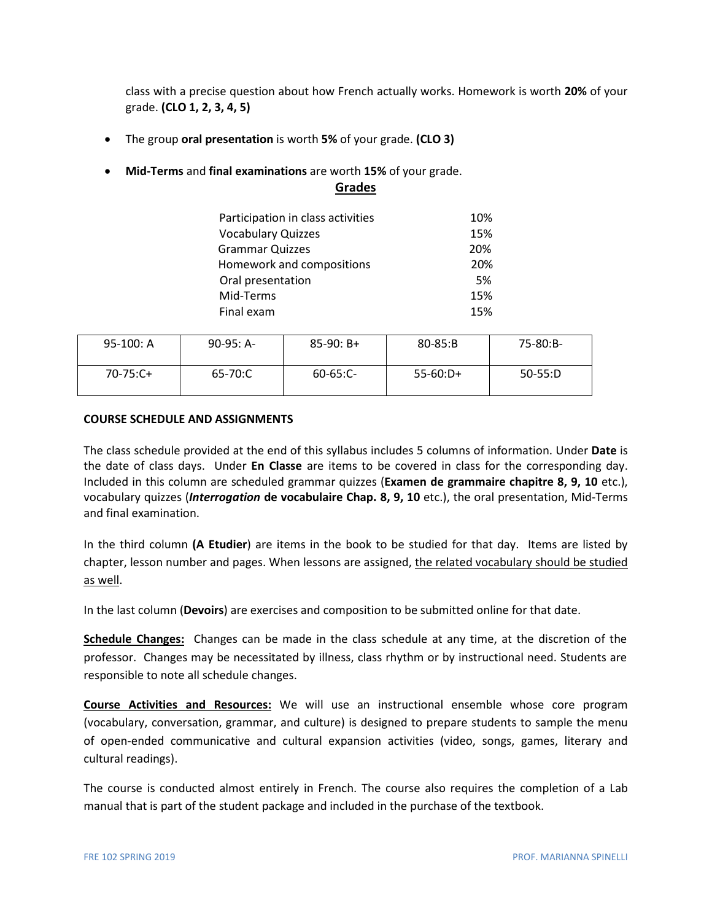class with a precise question about how French actually works. Homework is worth **20%** of your grade. **(CLO 1, 2, 3, 4, 5)**

- The group **oral presentation** is worth **5%** of your grade. **(CLO 3)**
- **Mid-Terms** and **final examinations** are worth **15%** of your grade.

| Participation in class activities | 10% |
|-----------------------------------|-----|
| <b>Vocabulary Quizzes</b>         | 15% |
| <b>Grammar Quizzes</b>            | 20% |
| Homework and compositions         | 20% |
| Oral presentation                 | 5%  |
| Mid-Terms                         | 15% |
| Final exam                        | 15% |

**Grades**

| $95-100: A$ | $90-95: A-$ | $85-90: B+$   | $80 - 85: B$ | 75-80:B-  |
|-------------|-------------|---------------|--------------|-----------|
| $70-75:C+$  | 65-70:C     | $60 - 65:$ C- | $55-60:D+$   | $50-55:D$ |

### **COURSE SCHEDULE AND ASSIGNMENTS**

The class schedule provided at the end of this syllabus includes 5 columns of information. Under **Date** is the date of class days. Under **En Classe** are items to be covered in class for the corresponding day. Included in this column are scheduled grammar quizzes (**Examen de grammaire chapitre 8, 9, 10** etc.), vocabulary quizzes (*Interrogation* **de vocabulaire Chap. 8, 9, 10** etc.), the oral presentation, Mid-Terms and final examination.

In the third column **(A Etudier**) are items in the book to be studied for that day. Items are listed by chapter, lesson number and pages. When lessons are assigned, the related vocabulary should be studied as well.

In the last column (**Devoirs**) are exercises and composition to be submitted online for that date.

**Schedule Changes:** Changes can be made in the class schedule at any time, at the discretion of the professor. Changes may be necessitated by illness, class rhythm or by instructional need. Students are responsible to note all schedule changes.

**Course Activities and Resources:** We will use an instructional ensemble whose core program (vocabulary, conversation, grammar, and culture) is designed to prepare students to sample the menu of open-ended communicative and cultural expansion activities (video, songs, games, literary and cultural readings).

The course is conducted almost entirely in French. The course also requires the completion of a Lab manual that is part of the student package and included in the purchase of the textbook.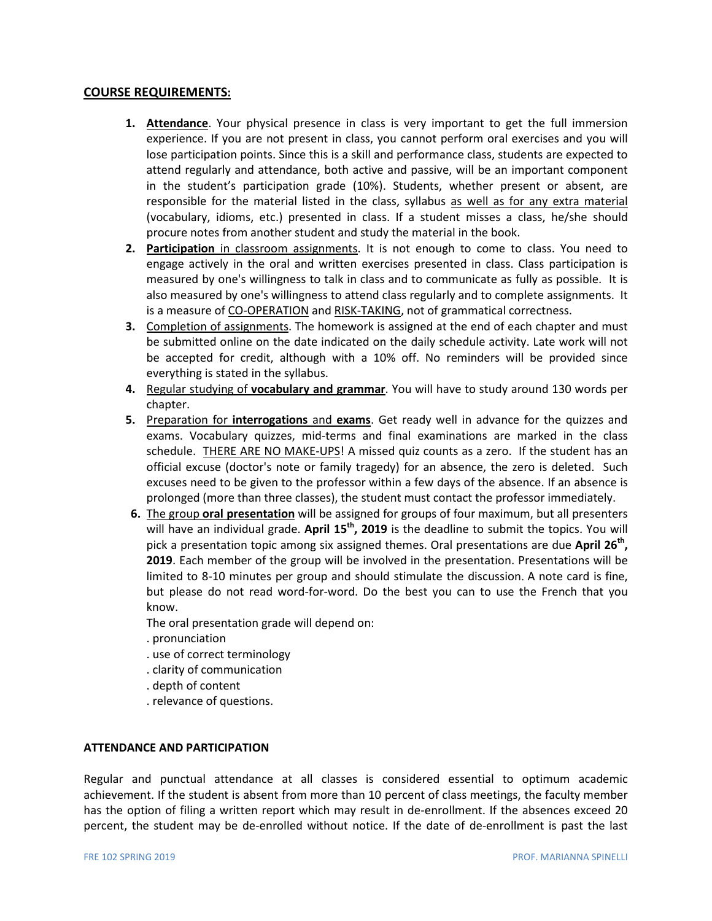# **COURSE REQUIREMENTS:**

- **1. Attendance**. Your physical presence in class is very important to get the full immersion experience. If you are not present in class, you cannot perform oral exercises and you will lose participation points. Since this is a skill and performance class, students are expected to attend regularly and attendance, both active and passive, will be an important component in the student's participation grade (10%). Students, whether present or absent, are responsible for the material listed in the class, syllabus as well as for any extra material (vocabulary, idioms, etc.) presented in class. If a student misses a class, he/she should procure notes from another student and study the material in the book.
- **2. Participation** in classroom assignments. It is not enough to come to class. You need to engage actively in the oral and written exercises presented in class. Class participation is measured by one's willingness to talk in class and to communicate as fully as possible. It is also measured by one's willingness to attend class regularly and to complete assignments. It is a measure of CO-OPERATION and RISK-TAKING, not of grammatical correctness.
- **3.** Completion of assignments. The homework is assigned at the end of each chapter and must be submitted online on the date indicated on the daily schedule activity. Late work will not be accepted for credit, although with a 10% off. No reminders will be provided since everything is stated in the syllabus.
- **4.** Regular studying of **vocabulary and grammar**. You will have to study around 130 words per chapter.
- **5.** Preparation for **interrogations** and **exams**. Get ready well in advance for the quizzes and exams. Vocabulary quizzes, mid-terms and final examinations are marked in the class schedule. THERE ARE NO MAKE-UPS! A missed quiz counts as a zero. If the student has an official excuse (doctor's note or family tragedy) for an absence, the zero is deleted. Such excuses need to be given to the professor within a few days of the absence. If an absence is prolonged (more than three classes), the student must contact the professor immediately.
- **6.** The group **oral presentation** will be assigned for groups of four maximum, but all presenters will have an individual grade. **April 15th, 2019** is the deadline to submit the topics. You will pick a presentation topic among six assigned themes. Oral presentations are due **April 26th, 2019**. Each member of the group will be involved in the presentation. Presentations will be limited to 8-10 minutes per group and should stimulate the discussion. A note card is fine, but please do not read word-for-word. Do the best you can to use the French that you know.

The oral presentation grade will depend on:

- . pronunciation
- . use of correct terminology
- . clarity of communication
- . depth of content
- . relevance of questions.

### **ATTENDANCE AND PARTICIPATION**

Regular and punctual attendance at all classes is considered essential to optimum academic achievement. If the student is absent from more than 10 percent of class meetings, the faculty member has the option of filing a written report which may result in de-enrollment. If the absences exceed 20 percent, the student may be de-enrolled without notice. If the date of de-enrollment is past the last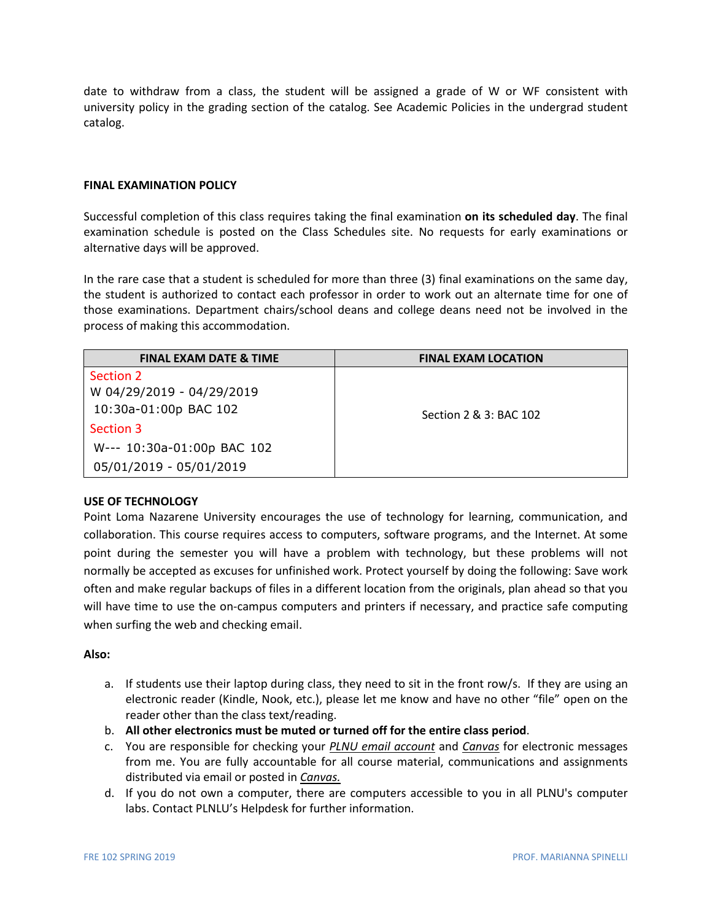date to withdraw from a class, the student will be assigned a grade of W or WF consistent with university policy in the grading section of the catalog. See Academic Policies in the undergrad student catalog.

### **FINAL EXAMINATION POLICY**

Successful completion of this class requires taking the final examination **on its scheduled day**. The final examination schedule is posted on the Class Schedules site. No requests for early examinations or alternative days will be approved.

In the rare case that a student is scheduled for more than three (3) final examinations on the same day, the student is authorized to contact each professor in order to work out an alternate time for one of those examinations. Department chairs/school deans and college deans need not be involved in the process of making this accommodation.

| <b>FINAL EXAM DATE &amp; TIME</b> | <b>FINAL EXAM LOCATION</b> |
|-----------------------------------|----------------------------|
| Section 2                         |                            |
| W 04/29/2019 - 04/29/2019         |                            |
| 10:30a-01:00p BAC 102             | Section 2 & 3: BAC 102     |
| Section 3                         |                            |
| W--- 10:30a-01:00p BAC 102        |                            |
| 05/01/2019 - 05/01/2019           |                            |

# **USE OF TECHNOLOGY**

Point Loma Nazarene University encourages the use of technology for learning, communication, and collaboration. This course requires access to computers, software programs, and the Internet. At some point during the semester you will have a problem with technology, but these problems will not normally be accepted as excuses for unfinished work. Protect yourself by doing the following: Save work often and make regular backups of files in a different location from the originals, plan ahead so that you will have time to use the on-campus computers and printers if necessary, and practice safe computing when surfing the web and checking email.

### **Also:**

- a. If students use their laptop during class, they need to sit in the front row/s. If they are using an electronic reader (Kindle, Nook, etc.), please let me know and have no other "file" open on the reader other than the class text/reading.
- b. **All other electronics must be muted or turned off for the entire class period**.
- c. You are responsible for checking your *PLNU email account* and *Canvas* for electronic messages from me. You are fully accountable for all course material, communications and assignments distributed via email or posted in *Canvas.*
- d. If you do not own a computer, there are computers accessible to you in all PLNU's computer labs. Contact PLNLU's Helpdesk for further information.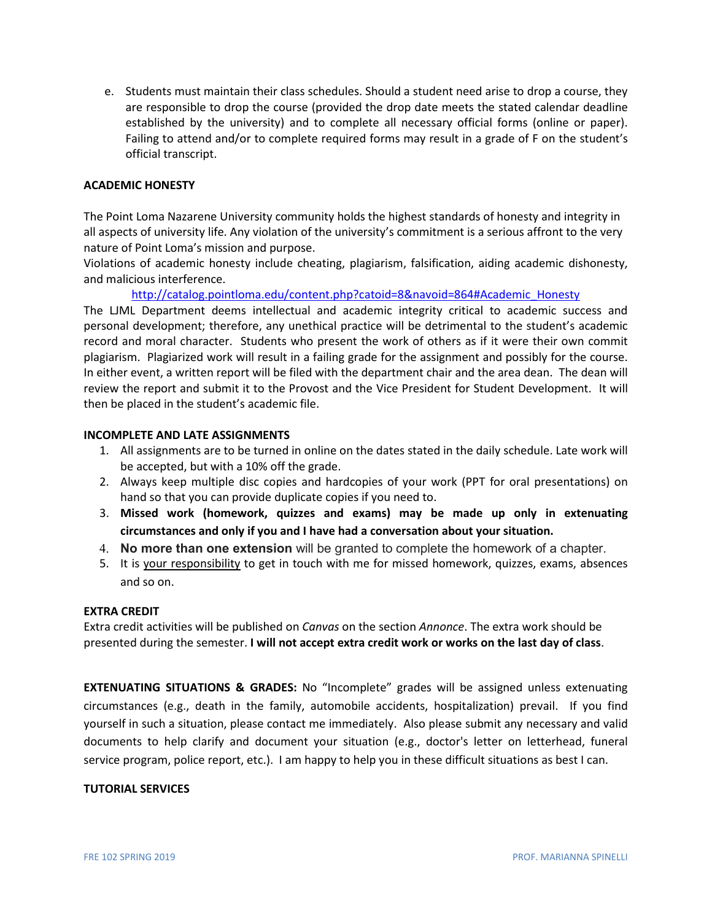e. Students must maintain their class schedules. Should a student need arise to drop a course, they are responsible to drop the course (provided the drop date meets the stated calendar deadline established by the university) and to complete all necessary official forms (online or paper). Failing to attend and/or to complete required forms may result in a grade of F on the student's official transcript.

# **ACADEMIC HONESTY**

The Point Loma Nazarene University community holds the highest standards of honesty and integrity in all aspects of university life. Any violation of the university's commitment is a serious affront to the very nature of Point Loma's mission and purpose.

Violations of academic honesty include cheating, plagiarism, falsification, aiding academic dishonesty, and malicious interference.

[http://catalog.pointloma.edu/content.php?catoid=8&navoid=864#Academic\\_Honesty](http://catalog.pointloma.edu/content.php?catoid=8&navoid=864#Academic_Honesty)

The LJML Department deems intellectual and academic integrity critical to academic success and personal development; therefore, any unethical practice will be detrimental to the student's academic record and moral character. Students who present the work of others as if it were their own commit plagiarism. Plagiarized work will result in a failing grade for the assignment and possibly for the course. In either event, a written report will be filed with the department chair and the area dean. The dean will review the report and submit it to the Provost and the Vice President for Student Development. It will then be placed in the student's academic file.

## **INCOMPLETE AND LATE ASSIGNMENTS**

- 1. All assignments are to be turned in online on the dates stated in the daily schedule. Late work will be accepted, but with a 10% off the grade.
- 2. Always keep multiple disc copies and hardcopies of your work (PPT for oral presentations) on hand so that you can provide duplicate copies if you need to.
- 3. **Missed work (homework, quizzes and exams) may be made up only in extenuating circumstances and only if you and I have had a conversation about your situation.**
- 4. **No more than one extension** will be granted to complete the homework of a chapter.
- 5. It is your responsibility to get in touch with me for missed homework, quizzes, exams, absences and so on.

### **EXTRA CREDIT**

Extra credit activities will be published on *Canvas* on the section *Annonce*. The extra work should be presented during the semester. **I will not accept extra credit work or works on the last day of class**.

**EXTENUATING SITUATIONS & GRADES:** No "Incomplete" grades will be assigned unless extenuating circumstances (e.g., death in the family, automobile accidents, hospitalization) prevail. If you find yourself in such a situation, please contact me immediately. Also please submit any necessary and valid documents to help clarify and document your situation (e.g., doctor's letter on letterhead, funeral service program, police report, etc.). I am happy to help you in these difficult situations as best I can.

### **TUTORIAL SERVICES**